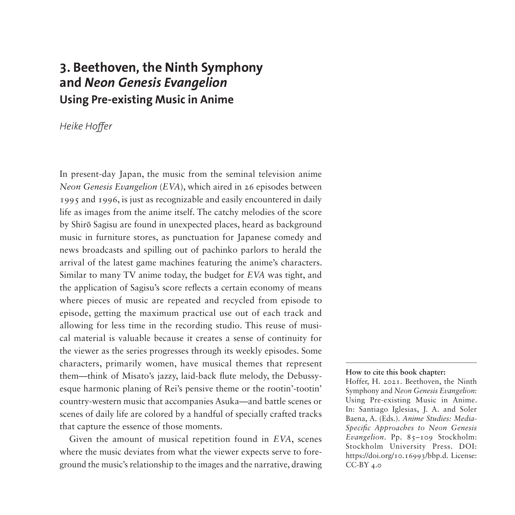# **3. Beethoven, the Ninth Symphony and** *Neon Genesis Evangelion* **Using Pre-existing Music in Anime**

## *Heike Hoffer*

In present-day Japan, the music from the seminal television anime *Neon Genesis Evangelion* (*EVA*), which aired in 26 episodes between 1995 and 1996, is just as recognizable and easily encountered in daily life as images from the anime itself. The catchy melodies of the score by Shirō Sagisu are found in unexpected places, heard as background music in furniture stores, as punctuation for Japanese comedy and news broadcasts and spilling out of pachinko parlors to herald the arrival of the latest game machines featuring the anime's characters. Similar to many TV anime today, the budget for *EVA* was tight, and the application of Sagisu's score reflects a certain economy of means where pieces of music are repeated and recycled from episode to episode, getting the maximum practical use out of each track and allowing for less time in the recording studio. This reuse of musical material is valuable because it creates a sense of continuity for the viewer as the series progresses through its weekly episodes. Some characters, primarily women, have musical themes that represent them—think of Misato's jazzy, laid-back flute melody, the Debussyesque harmonic planing of Rei's pensive theme or the rootin'-tootin' country-western music that accompanies Asuka—and battle scenes or scenes of daily life are colored by a handful of specially crafted tracks that capture the essence of those moments.

Given the amount of musical repetition found in *EVA*, scenes where the music deviates from what the viewer expects serve to foreground the music's relationship to the images and the narrative, drawing

#### **How to cite this book chapter:**

Hoffer, H. 2021. Beethoven, the Ninth Symphony and *Neon Genesis Evangelion*: Using Pre-existing Music in Anime. In: Santiago Iglesias, J. A. and Soler Baena, A. (Eds.). *Anime Studies: Media-Specific Approaches to Neon Genesis Evangelion*. Pp. 85–109 Stockholm: Stockholm University Press. DOI: [https://doi.org/10.16993/bbp.d.](https://doi.org/10.16993/bbp.d) License: CC-BY 4.0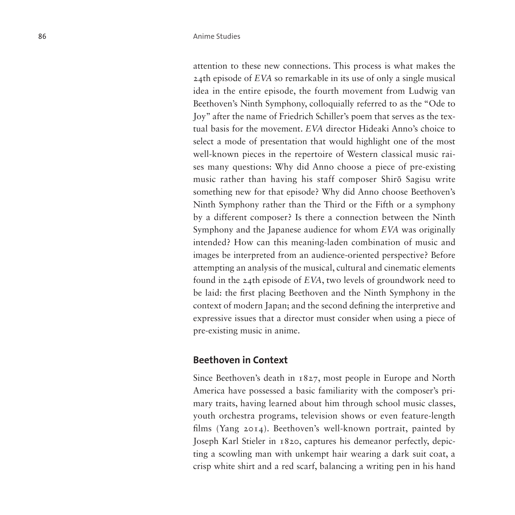attention to these new connections. This process is what makes the 24th episode of *EVA* so remarkable in its use of only a single musical idea in the entire episode, the fourth movement from Ludwig van Beethoven's Ninth Symphony, colloquially referred to as the "Ode to Joy" after the name of Friedrich Schiller's poem that serves as the textual basis for the movement. *EVA* director Hideaki Anno's choice to select a mode of presentation that would highlight one of the most well-known pieces in the repertoire of Western classical music raises many questions: Why did Anno choose a piece of pre-existing music rather than having his staff composer Shirō Sagisu write something new for that episode? Why did Anno choose Beethoven's Ninth Symphony rather than the Third or the Fifth or a symphony by a different composer? Is there a connection between the Ninth Symphony and the Japanese audience for whom *EVA* was originally intended? How can this meaning-laden combination of music and images be interpreted from an audience-oriented perspective? Before attempting an analysis of the musical, cultural and cinematic elements found in the 24th episode of *EVA*, two levels of groundwork need to be laid: the first placing Beethoven and the Ninth Symphony in the context of modern Japan; and the second defining the interpretive and expressive issues that a director must consider when using a piece of pre-existing music in anime.

#### **Beethoven in Context**

Since Beethoven's death in 1827, most people in Europe and North America have possessed a basic familiarity with the composer's primary traits, having learned about him through school music classes, youth orchestra programs, television shows or even feature-length films (Yang 2014). Beethoven's well-known portrait, painted by Joseph Karl Stieler in 1820, captures his demeanor perfectly, depicting a scowling man with unkempt hair wearing a dark suit coat, a crisp white shirt and a red scarf, balancing a writing pen in his hand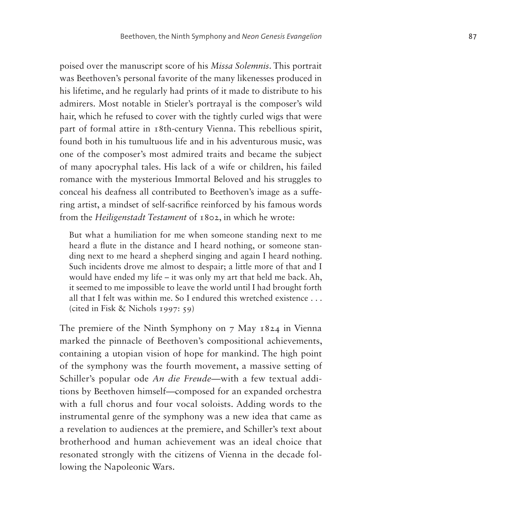poised over the manuscript score of his *Missa Solemnis*. This portrait was Beethoven's personal favorite of the many likenesses produced in his lifetime, and he regularly had prints of it made to distribute to his admirers. Most notable in Stieler's portrayal is the composer's wild hair, which he refused to cover with the tightly curled wigs that were part of formal attire in 18th-century Vienna. This rebellious spirit, found both in his tumultuous life and in his adventurous music, was one of the composer's most admired traits and became the subject of many apocryphal tales. His lack of a wife or children, his failed romance with the mysterious Immortal Beloved and his struggles to conceal his deafness all contributed to Beethoven's image as a suffering artist, a mindset of self-sacrifice reinforced by his famous words from the *Heiligenstadt Testament* of 1802, in which he wrote:

But what a humiliation for me when someone standing next to me heard a flute in the distance and I heard nothing, or someone standing next to me heard a shepherd singing and again I heard nothing. Such incidents drove me almost to despair; a little more of that and I would have ended my life – it was only my art that held me back. Ah, it seemed to me impossible to leave the world until I had brought forth all that I felt was within me. So I endured this wretched existence . . . (cited in Fisk & Nichols 1997: 59)

The premiere of the Ninth Symphony on 7 May 1824 in Vienna marked the pinnacle of Beethoven's compositional achievements, containing a utopian vision of hope for mankind. The high point of the symphony was the fourth movement, a massive setting of Schiller's popular ode *An die Freude*—with a few textual additions by Beethoven himself—composed for an expanded orchestra with a full chorus and four vocal soloists. Adding words to the instrumental genre of the symphony was a new idea that came as a revelation to audiences at the premiere, and Schiller's text about brotherhood and human achievement was an ideal choice that resonated strongly with the citizens of Vienna in the decade following the Napoleonic Wars.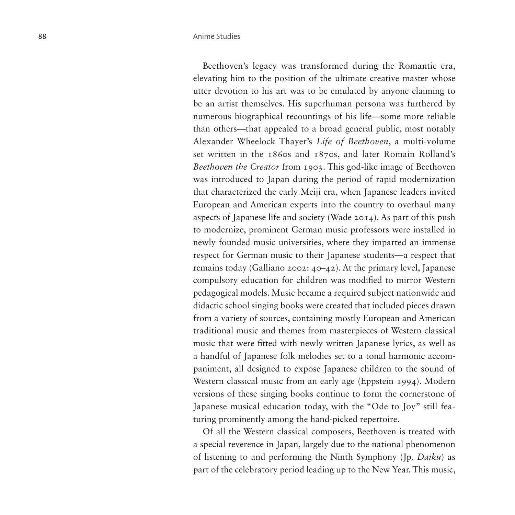Beethoven's legacy was transformed during the Romantic era, elevating him to the position of the ultimate creative master whose utter devotion to his art was to be emulated by anyone claiming to be an artist themselves. His superhuman persona was furthered by numerous biographical recountings of his life—some more reliable than others—that appealed to a broad general public, most notably Alexander Wheelock Thayer's *Life of Beethoven*, a multi-volume set written in the 1860s and 1870s, and later Romain Rolland's *Beethoven the Creator* from 1903. This god-like image of Beethoven was introduced to Japan during the period of rapid modernization that characterized the early Meiji era, when Japanese leaders invited European and American experts into the country to overhaul many aspects of Japanese life and society (Wade 2014). As part of this push to modernize, prominent German music professors were installed in newly founded music universities, where they imparted an immense respect for German music to their Japanese students—a respect that remains today (Galliano 2002: 40–42). At the primary level, Japanese compulsory education for children was modified to mirror Western pedagogical models. Music became a required subject nationwide and didactic school singing books were created that included pieces drawn from a variety of sources, containing mostly European and American traditional music and themes from masterpieces of Western classical music that were fitted with newly written Japanese lyrics, as well as a handful of Japanese folk melodies set to a tonal harmonic accompaniment, all designed to expose Japanese children to the sound of Western classical music from an early age (Eppstein 1994). Modern versions of these singing books continue to form the cornerstone of Japanese musical education today, with the "Ode to Joy" still featuring prominently among the hand-picked repertoire.

Of all the Western classical composers, Beethoven is treated with a special reverence in Japan, largely due to the national phenomenon of listening to and performing the Ninth Symphony (Jp. *Daiku*) as part of the celebratory period leading up to the New Year. This music,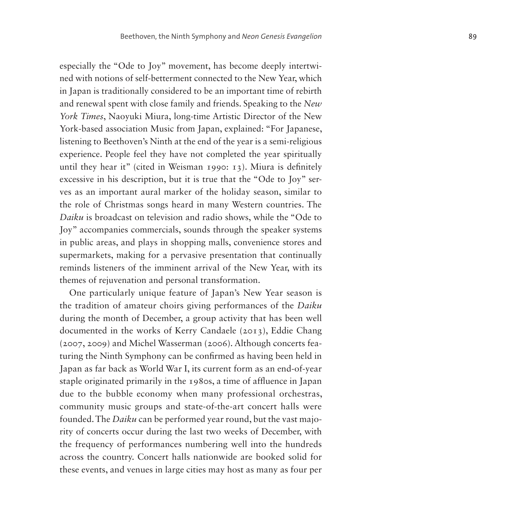especially the "Ode to Joy" movement, has become deeply intertwined with notions of self-betterment connected to the New Year, which in Japan is traditionally considered to be an important time of rebirth and renewal spent with close family and friends. Speaking to the *New York Times*, Naoyuki Miura, long-time Artistic Director of the New York-based association Music from Japan, explained: "For Japanese, listening to Beethoven's Ninth at the end of the year is a semi-religious experience. People feel they have not completed the year spiritually until they hear it" (cited in Weisman 1990: 13). Miura is definitely excessive in his description, but it is true that the "Ode to Joy" serves as an important aural marker of the holiday season, similar to the role of Christmas songs heard in many Western countries. The *Daiku* is broadcast on television and radio shows, while the "Ode to Joy" accompanies commercials, sounds through the speaker systems in public areas, and plays in shopping malls, convenience stores and supermarkets, making for a pervasive presentation that continually reminds listeners of the imminent arrival of the New Year, with its themes of rejuvenation and personal transformation.

One particularly unique feature of Japan's New Year season is the tradition of amateur choirs giving performances of the *Daiku* during the month of December, a group activity that has been well documented in the works of Kerry Candaele (2013), Eddie Chang (2007, 2009) and Michel Wasserman (2006). Although concerts featuring the Ninth Symphony can be confirmed as having been held in Japan as far back as World War I, its current form as an end-of-year staple originated primarily in the 1980s, a time of affluence in Japan due to the bubble economy when many professional orchestras, community music groups and state-of-the-art concert halls were founded. The *Daiku* can be performed year round, but the vast majority of concerts occur during the last two weeks of December, with the frequency of performances numbering well into the hundreds across the country. Concert halls nationwide are booked solid for these events, and venues in large cities may host as many as four per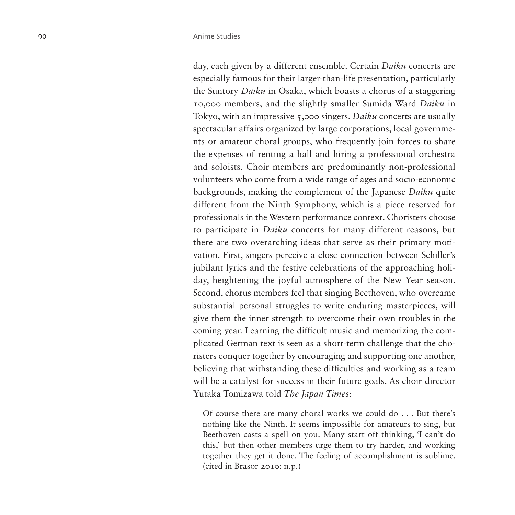day, each given by a different ensemble. Certain *Daiku* concerts are especially famous for their larger-than-life presentation, particularly the Suntory *Daiku* in Osaka, which boasts a chorus of a staggering 10,000 members, and the slightly smaller Sumida Ward *Daiku* in Tokyo, with an impressive 5,000 singers. *Daiku* concerts are usually spectacular affairs organized by large corporations, local governments or amateur choral groups, who frequently join forces to share the expenses of renting a hall and hiring a professional orchestra and soloists. Choir members are predominantly non-professional volunteers who come from a wide range of ages and socio-economic backgrounds, making the complement of the Japanese *Daiku* quite different from the Ninth Symphony, which is a piece reserved for professionals in the Western performance context. Choristers choose to participate in *Daiku* concerts for many different reasons, but there are two overarching ideas that serve as their primary motivation. First, singers perceive a close connection between Schiller's jubilant lyrics and the festive celebrations of the approaching holiday, heightening the joyful atmosphere of the New Year season. Second, chorus members feel that singing Beethoven, who overcame substantial personal struggles to write enduring masterpieces, will give them the inner strength to overcome their own troubles in the coming year. Learning the difficult music and memorizing the complicated German text is seen as a short-term challenge that the choristers conquer together by encouraging and supporting one another, believing that withstanding these difficulties and working as a team will be a catalyst for success in their future goals. As choir director Yutaka Tomizawa told *The Japan Times*:

Of course there are many choral works we could do . . . But there's nothing like the Ninth. It seems impossible for amateurs to sing, but Beethoven casts a spell on you. Many start off thinking, 'I can't do this,' but then other members urge them to try harder, and working together they get it done. The feeling of accomplishment is sublime. (cited in Brasor 2010: n.p.)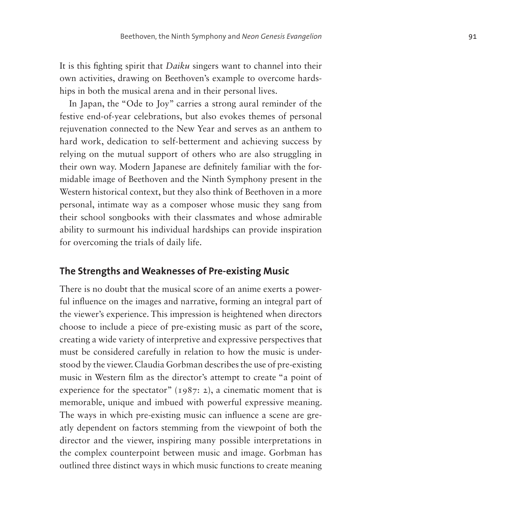It is this fighting spirit that *Daiku* singers want to channel into their own activities, drawing on Beethoven's example to overcome hardships in both the musical arena and in their personal lives.

In Japan, the "Ode to Joy" carries a strong aural reminder of the festive end-of-year celebrations, but also evokes themes of personal rejuvenation connected to the New Year and serves as an anthem to hard work, dedication to self-betterment and achieving success by relying on the mutual support of others who are also struggling in their own way. Modern Japanese are definitely familiar with the formidable image of Beethoven and the Ninth Symphony present in the Western historical context, but they also think of Beethoven in a more personal, intimate way as a composer whose music they sang from their school songbooks with their classmates and whose admirable ability to surmount his individual hardships can provide inspiration for overcoming the trials of daily life.

### **The Strengths and Weaknesses of Pre-existing Music**

There is no doubt that the musical score of an anime exerts a powerful influence on the images and narrative, forming an integral part of the viewer's experience. This impression is heightened when directors choose to include a piece of pre-existing music as part of the score, creating a wide variety of interpretive and expressive perspectives that must be considered carefully in relation to how the music is understood by the viewer. Claudia Gorbman describes the use of pre-existing music in Western film as the director's attempt to create "a point of experience for the spectator" (1987: 2), a cinematic moment that is memorable, unique and imbued with powerful expressive meaning. The ways in which pre-existing music can influence a scene are greatly dependent on factors stemming from the viewpoint of both the director and the viewer, inspiring many possible interpretations in the complex counterpoint between music and image. Gorbman has outlined three distinct ways in which music functions to create meaning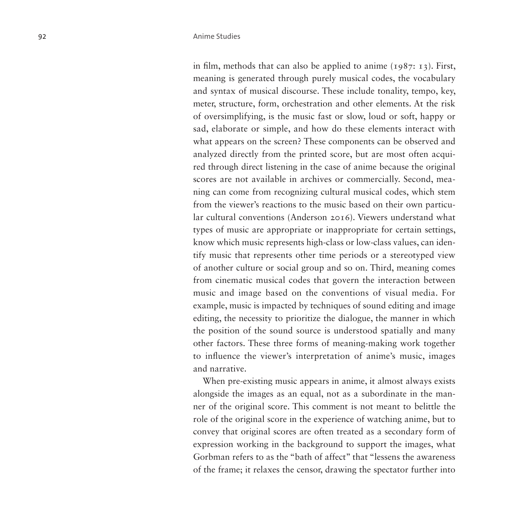in film, methods that can also be applied to anime  $(1987: 13)$ . First, meaning is generated through purely musical codes, the vocabulary and syntax of musical discourse. These include tonality, tempo, key, meter, structure, form, orchestration and other elements. At the risk of oversimplifying, is the music fast or slow, loud or soft, happy or sad, elaborate or simple, and how do these elements interact with what appears on the screen? These components can be observed and analyzed directly from the printed score, but are most often acquired through direct listening in the case of anime because the original scores are not available in archives or commercially. Second, meaning can come from recognizing cultural musical codes, which stem from the viewer's reactions to the music based on their own particular cultural conventions (Anderson 2016). Viewers understand what types of music are appropriate or inappropriate for certain settings, know which music represents high-class or low-class values, can identify music that represents other time periods or a stereotyped view of another culture or social group and so on. Third, meaning comes from cinematic musical codes that govern the interaction between music and image based on the conventions of visual media. For example, music is impacted by techniques of sound editing and image editing, the necessity to prioritize the dialogue, the manner in which the position of the sound source is understood spatially and many other factors. These three forms of meaning-making work together to influence the viewer's interpretation of anime's music, images and narrative.

When pre-existing music appears in anime, it almost always exists alongside the images as an equal, not as a subordinate in the manner of the original score. This comment is not meant to belittle the role of the original score in the experience of watching anime, but to convey that original scores are often treated as a secondary form of expression working in the background to support the images, what Gorbman refers to as the "bath of affect" that "lessens the awareness of the frame; it relaxes the censor, drawing the spectator further into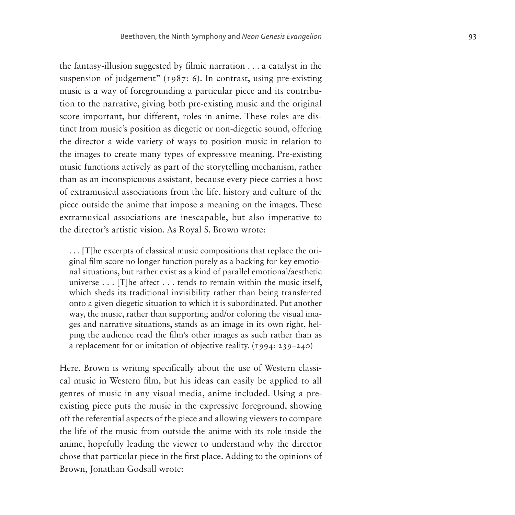the fantasy-illusion suggested by filmic narration . . . a catalyst in the suspension of judgement" (1987: 6). In contrast, using pre-existing music is a way of foregrounding a particular piece and its contribu tion to the narrative, giving both pre-existing music and the original score important, but different, roles in anime. These roles are dis tinct from music's position as diegetic or non-diegetic sound, offering the director a wide variety of ways to position music in relation to the images to create many types of expressive meaning. Pre-existing music functions actively as part of the storytelling mechanism, rather than as an inconspicuous assistant, because every piece carries a host of extramusical associations from the life, history and culture of the piece outside the anime that impose a meaning on the images. These extramusical associations are inescapable, but also imperative to the director's artistic vision. As Royal S. Brown wrote:

. . . [T]he excerpts of classical music compositions that replace the ori ginal film score no longer function purely as a backing for key emotio nal situations, but rather exist as a kind of parallel emotional/aesthetic universe . . . [T]he affect . . . tends to remain within the music itself, which sheds its traditional invisibility rather than being transferred onto a given diegetic situation to which it is subordinated. Put another way, the music, rather than supporting and/or coloring the visual ima ges and narrative situations, stands as an image in its own right, hel ping the audience read the film's other images as such rather than as a replacement for or imitation of objective reality. (1994: 239–240)

Here, Brown is writing specifically about the use of Western classi cal music in Western film, but his ideas can easily be applied to all genres of music in any visual media, anime included. Using a preexisting piece puts the music in the expressive foreground, showing off the referential aspects of the piece and allowing viewers to compare the life of the music from outside the anime with its role inside the anime, hopefully leading the viewer to understand why the director chose that particular piece in the first place. Adding to the opinions of Brown, Jonathan Godsall wrote: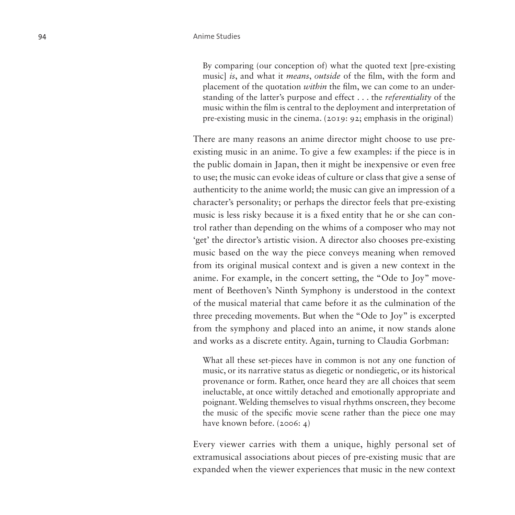By comparing (our conception of) what the quoted text [pre-existing music] *is*, and what it *means*, *outside* of the film, with the form and placement of the quotation *within* the film, we can come to an under standing of the latter's purpose and effect . . . the *referentiality* of the music within the film is central to the deployment and interpretation of pre-existing music in the cinema. (2019: 92; emphasis in the original)

There are many reasons an anime director might choose to use preexisting music in an anime. To give a few examples: if the piece is in the public domain in Japan, then it might be inexpensive or even free to use; the music can evoke ideas of culture or class that give a sense of authenticity to the anime world; the music can give an impression of a character's personality; or perhaps the director feels that pre-existing music is less risky because it is a fixed entity that he or she can con trol rather than depending on the whims of a composer who may not 'get' the director's artistic vision. A director also chooses pre-existing music based on the way the piece conveys meaning when removed from its original musical context and is given a new context in the anime. For example, in the concert setting, the "Ode to Joy" move ment of Beethoven's Ninth Symphony is understood in the context of the musical material that came before it as the culmination of the three preceding movements. But when the "Ode to Joy" is excerpted from the symphony and placed into an anime, it now stands alone and works as a discrete entity. Again, turning to Claudia Gorbman:

What all these set-pieces have in common is not any one function of music, or its narrative status as diegetic or nondiegetic, or its historical provenance or form. Rather, once heard they are all choices that seem ineluctable, at once wittily detached and emotionally appropriate and poignant. Welding themselves to visual rhythms onscreen, they become the music of the specific movie scene rather than the piece one may have known before. (2006: 4)

Every viewer carries with them a unique, highly personal set of extramusical associations about pieces of pre-existing music that are expanded when the viewer experiences that music in the new context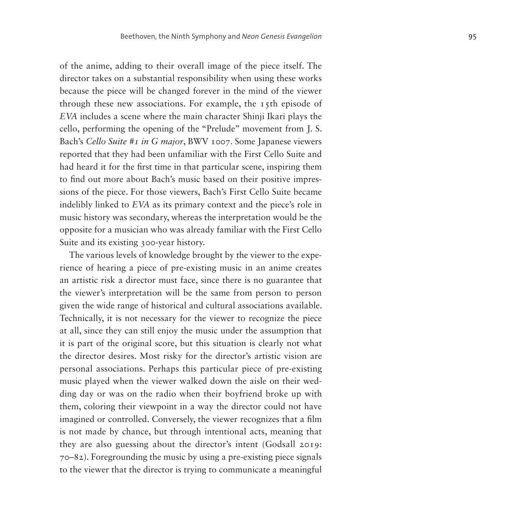of the anime, adding to their overall image of the piece itself. The director takes on a substantial responsibility when using these works because the piece will be changed forever in the mind of the viewer through these new associations. For example, the 15th episode of *EVA* includes a scene where the main character Shinji Ikari plays the cello, performing the opening of the "Prelude" movement from J. S. Bach's *Cello Suite #1 in G major*, BWV 1007. Some Japanese viewers reported that they had been unfamiliar with the First Cello Suite and had heard it for the first time in that particular scene, inspiring them to find out more about Bach's music based on their positive impressions of the piece. For those viewers, Bach's First Cello Suite became indelibly linked to *EVA* as its primary context and the piece's role in music history was secondary, whereas the interpretation would be the opposite for a musician who was already familiar with the First Cello Suite and its existing 300-year history.

The various levels of knowledge brought by the viewer to the experience of hearing a piece of pre-existing music in an anime creates an artistic risk a director must face, since there is no guarantee that the viewer's interpretation will be the same from person to person given the wide range of historical and cultural associations available. Technically, it is not necessary for the viewer to recognize the piece at all, since they can still enjoy the music under the assumption that it is part of the original score, but this situation is clearly not what the director desires. Most risky for the director's artistic vision are personal associations. Perhaps this particular piece of pre-existing music played when the viewer walked down the aisle on their wedding day or was on the radio when their boyfriend broke up with them, coloring their viewpoint in a way the director could not have imagined or controlled. Conversely, the viewer recognizes that a film is not made by chance, but through intentional acts, meaning that they are also guessing about the director's intent (Godsall 2019: 70–82). Foregrounding the music by using a pre-existing piece signals to the viewer that the director is trying to communicate a meaningful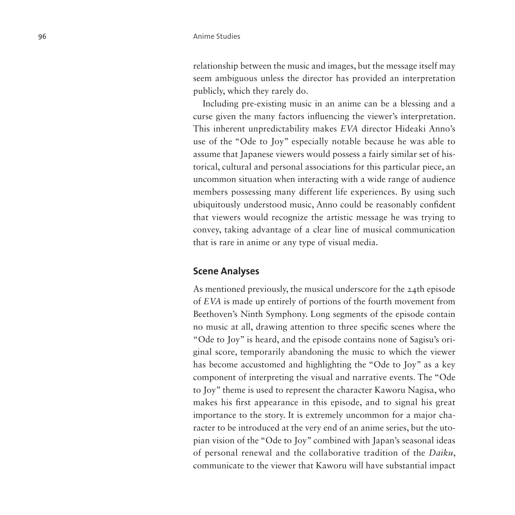relationship between the music and images, but the message itself may seem ambiguous unless the director has provided an interpretation publicly, which they rarely do.

Including pre-existing music in an anime can be a blessing and a curse given the many factors influencing the viewer's interpretation. This inherent unpredictability makes *EVA* director Hideaki Anno's use of the "Ode to Joy" especially notable because he was able to assume that Japanese viewers would possess a fairly similar set of historical, cultural and personal associations for this particular piece, an uncommon situation when interacting with a wide range of audience members possessing many different life experiences. By using such ubiquitously understood music, Anno could be reasonably confident that viewers would recognize the artistic message he was trying to convey, taking advantage of a clear line of musical communication that is rare in anime or any type of visual media.

#### **Scene Analyses**

As mentioned previously, the musical underscore for the 24th episode of *EVA* is made up entirely of portions of the fourth movement from Beethoven's Ninth Symphony. Long segments of the episode contain no music at all, drawing attention to three specific scenes where the "Ode to Joy" is heard, and the episode contains none of Sagisu's original score, temporarily abandoning the music to which the viewer has become accustomed and highlighting the "Ode to Joy" as a key component of interpreting the visual and narrative events. The "Ode to Joy" theme is used to represent the character Kaworu Nagisa, who makes his first appearance in this episode, and to signal his great importance to the story. It is extremely uncommon for a major character to be introduced at the very end of an anime series, but the utopian vision of the "Ode to Joy" combined with Japan's seasonal ideas of personal renewal and the collaborative tradition of the *Daiku*, communicate to the viewer that Kaworu will have substantial impact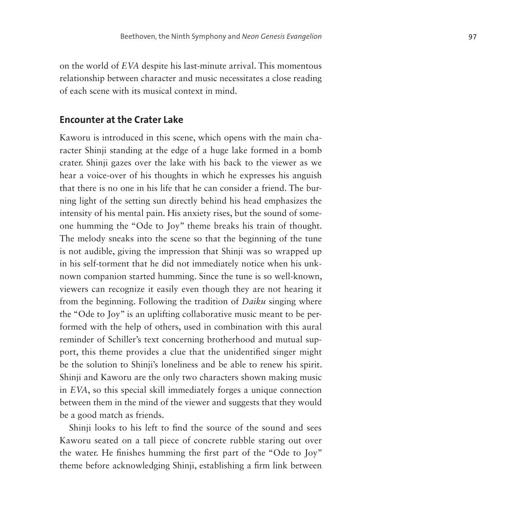on the world of *EVA* despite his last-minute arrival. This momentous relationship between character and music necessitates a close reading of each scene with its musical context in mind.

#### **Encounter at the Crater Lake**

Kaworu is introduced in this scene, which opens with the main cha racter Shinji standing at the edge of a huge lake formed in a bomb crater. Shinji gazes over the lake with his back to the viewer as we hear a voice-over of his thoughts in which he expresses his anguish that there is no one in his life that he can consider a friend. The bur ning light of the setting sun directly behind his head emphasizes the intensity of his mental pain. His anxiety rises, but the sound of some one humming the "Ode to Joy" theme breaks his train of thought. The melody sneaks into the scene so that the beginning of the tune is not audible, giving the impression that Shinji was so wrapped up in his self-torment that he did not immediately notice when his unk nown companion started humming. Since the tune is so well-known, viewers can recognize it easily even though they are not hearing it from the beginning. Following the tradition of *Daiku* singing where the "Ode to Joy" is an uplifting collaborative music meant to be per formed with the help of others, used in combination with this aural reminder of Schiller's text concerning brotherhood and mutual sup port, this theme provides a clue that the unidentified singer might be the solution to Shinji's loneliness and be able to renew his spirit. Shinji and Kaworu are the only two characters shown making music in *EVA*, so this special skill immediately forges a unique connection between them in the mind of the viewer and suggests that they would be a good match as friends.

Shinji looks to his left to find the source of the sound and sees Kaworu seated on a tall piece of concrete rubble staring out over the water. He finishes humming the first part of the "Ode to Joy" theme before acknowledging Shinji, establishing a firm link between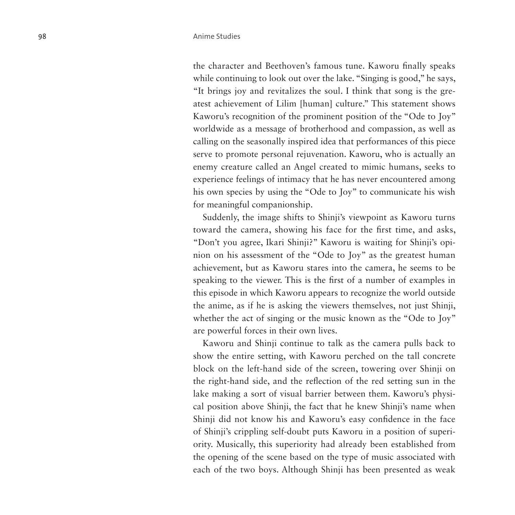the character and Beethoven's famous tune. Kaworu finally speaks while continuing to look out over the lake. "Singing is good," he says, "It brings joy and revitalizes the soul. I think that song is the greatest achievement of Lilim [human] culture." This statement shows Kaworu's recognition of the prominent position of the "Ode to Joy" worldwide as a message of brotherhood and compassion, as well as calling on the seasonally inspired idea that performances of this piece serve to promote personal rejuvenation. Kaworu, who is actually an enemy creature called an Angel created to mimic humans, seeks to experience feelings of intimacy that he has never encountered among his own species by using the "Ode to Joy" to communicate his wish for meaningful companionship.

Suddenly, the image shifts to Shinji's viewpoint as Kaworu turns toward the camera, showing his face for the first time, and asks, "Don't you agree, Ikari Shinji?" Kaworu is waiting for Shinji's opinion on his assessment of the "Ode to Joy" as the greatest human achievement, but as Kaworu stares into the camera, he seems to be speaking to the viewer. This is the first of a number of examples in this episode in which Kaworu appears to recognize the world outside the anime, as if he is asking the viewers themselves, not just Shinji, whether the act of singing or the music known as the "Ode to Joy" are powerful forces in their own lives.

Kaworu and Shinji continue to talk as the camera pulls back to show the entire setting, with Kaworu perched on the tall concrete block on the left-hand side of the screen, towering over Shinji on the right-hand side, and the reflection of the red setting sun in the lake making a sort of visual barrier between them. Kaworu's physical position above Shinji, the fact that he knew Shinji's name when Shinji did not know his and Kaworu's easy confidence in the face of Shinji's crippling self-doubt puts Kaworu in a position of superiority. Musically, this superiority had already been established from the opening of the scene based on the type of music associated with each of the two boys. Although Shinji has been presented as weak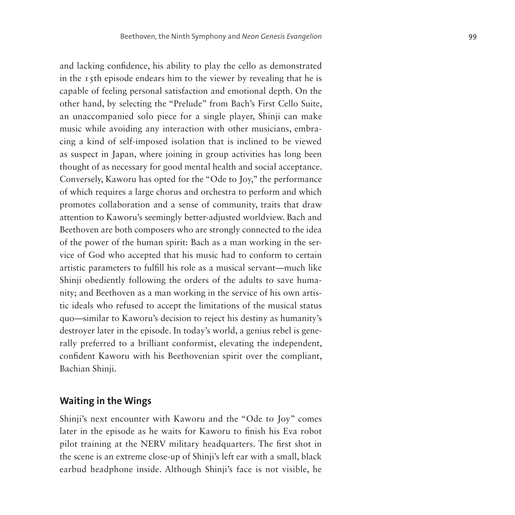and lacking confidence, his ability to play the cello as demonstrated in the 15th episode endears him to the viewer by revealing that he is capable of feeling personal satisfaction and emotional depth. On the other hand, by selecting the "Prelude" from Bach's First Cello Suite, an unaccompanied solo piece for a single player, Shinji can make music while avoiding any interaction with other musicians, embracing a kind of self-imposed isolation that is inclined to be viewed as suspect in Japan, where joining in group activities has long been thought of as necessary for good mental health and social acceptance. Conversely, Kaworu has opted for the "Ode to Joy," the performance of which requires a large chorus and orchestra to perform and which promotes collaboration and a sense of community, traits that draw attention to Kaworu's seemingly better-adjusted worldview. Bach and Beethoven are both composers who are strongly connected to the idea of the power of the human spirit: Bach as a man working in the service of God who accepted that his music had to conform to certain artistic parameters to fulfill his role as a musical servant—much like Shinji obediently following the orders of the adults to save humanity; and Beethoven as a man working in the service of his own artistic ideals who refused to accept the limitations of the musical status quo—similar to Kaworu's decision to reject his destiny as humanity's destroyer later in the episode. In today's world, a genius rebel is generally preferred to a brilliant conformist, elevating the independent, confident Kaworu with his Beethovenian spirit over the compliant, Bachian Shinji.

### **Waiting in the Wings**

Shinji's next encounter with Kaworu and the "Ode to Joy" comes later in the episode as he waits for Kaworu to finish his Eva robot pilot training at the NERV military headquarters. The first shot in the scene is an extreme close-up of Shinji's left ear with a small, black earbud headphone inside. Although Shinji's face is not visible, he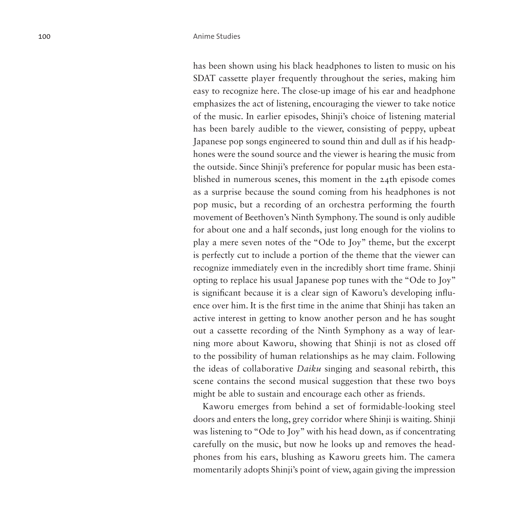has been shown using his black headphones to listen to music on his SDAT cassette player frequently throughout the series, making him easy to recognize here. The close-up image of his ear and headphone emphasizes the act of listening, encouraging the viewer to take notice of the music. In earlier episodes, Shinji's choice of listening material has been barely audible to the viewer, consisting of peppy, upbeat Japanese pop songs engineered to sound thin and dull as if his headphones were the sound source and the viewer is hearing the music from the outside. Since Shinji's preference for popular music has been established in numerous scenes, this moment in the 24th episode comes as a surprise because the sound coming from his headphones is not pop music, but a recording of an orchestra performing the fourth movement of Beethoven's Ninth Symphony. The sound is only audible for about one and a half seconds, just long enough for the violins to play a mere seven notes of the "Ode to Joy" theme, but the excerpt is perfectly cut to include a portion of the theme that the viewer can recognize immediately even in the incredibly short time frame. Shinji opting to replace his usual Japanese pop tunes with the "Ode to Joy" is significant because it is a clear sign of Kaworu's developing influence over him. It is the first time in the anime that Shinji has taken an active interest in getting to know another person and he has sought out a cassette recording of the Ninth Symphony as a way of learning more about Kaworu, showing that Shinji is not as closed off to the possibility of human relationships as he may claim. Following the ideas of collaborative *Daiku* singing and seasonal rebirth, this scene contains the second musical suggestion that these two boys might be able to sustain and encourage each other as friends.

Kaworu emerges from behind a set of formidable-looking steel doors and enters the long, grey corridor where Shinji is waiting. Shinji was listening to "Ode to Joy" with his head down, as if concentrating carefully on the music, but now he looks up and removes the headphones from his ears, blushing as Kaworu greets him. The camera momentarily adopts Shinji's point of view, again giving the impression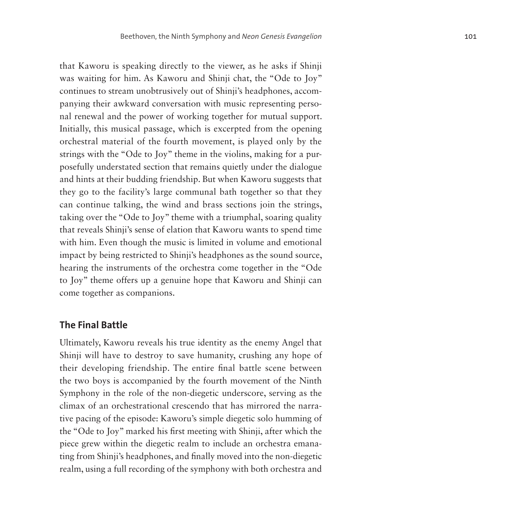that Kaworu is speaking directly to the viewer, as he asks if Shinji was waiting for him. As Kaworu and Shinji chat, the "Ode to Joy" continues to stream unobtrusively out of Shinji's headphones, accompanying their awkward conversation with music representing personal renewal and the power of working together for mutual support. Initially, this musical passage, which is excerpted from the opening orchestral material of the fourth movement, is played only by the strings with the "Ode to Joy" theme in the violins, making for a purposefully understated section that remains quietly under the dialogue and hints at their budding friendship. But when Kaworu suggests that they go to the facility's large communal bath together so that they can continue talking, the wind and brass sections join the strings, taking over the "Ode to Joy" theme with a triumphal, soaring quality that reveals Shinji's sense of elation that Kaworu wants to spend time with him. Even though the music is limited in volume and emotional impact by being restricted to Shinji's headphones as the sound source, hearing the instruments of the orchestra come together in the "Ode to Joy" theme offers up a genuine hope that Kaworu and Shinji can come together as companions.

#### **The Final Battle**

Ultimately, Kaworu reveals his true identity as the enemy Angel that Shinji will have to destroy to save humanity, crushing any hope of their developing friendship. The entire final battle scene between the two boys is accompanied by the fourth movement of the Ninth Symphony in the role of the non-diegetic underscore, serving as the climax of an orchestrational crescendo that has mirrored the narrative pacing of the episode: Kaworu's simple diegetic solo humming of the "Ode to Joy" marked his first meeting with Shinji, after which the piece grew within the diegetic realm to include an orchestra emanating from Shinji's headphones, and finally moved into the non-diegetic realm, using a full recording of the symphony with both orchestra and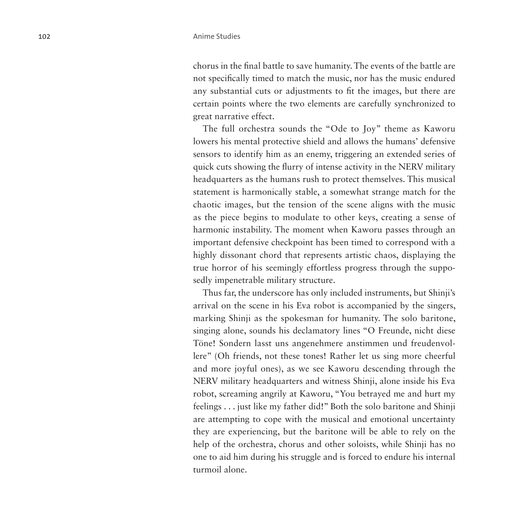chorus in the final battle to save humanity. The events of the battle are not specifically timed to match the music, nor has the music endured any substantial cuts or adjustments to fit the images, but there are certain points where the two elements are carefully synchronized to great narrative effect.

The full orchestra sounds the "Ode to Joy" theme as Kaworu lowers his mental protective shield and allows the humans' defensive sensors to identify him as an enemy, triggering an extended series of quick cuts showing the flurry of intense activity in the NERV military headquarters as the humans rush to protect themselves. This musical statement is harmonically stable, a somewhat strange match for the chaotic images, but the tension of the scene aligns with the music as the piece begins to modulate to other keys, creating a sense of harmonic instability. The moment when Kaworu passes through an important defensive checkpoint has been timed to correspond with a highly dissonant chord that represents artistic chaos, displaying the true horror of his seemingly effortless progress through the supposedly impenetrable military structure.

Thus far, the underscore has only included instruments, but Shinji's arrival on the scene in his Eva robot is accompanied by the singers, marking Shinji as the spokesman for humanity. The solo baritone, singing alone, sounds his declamatory lines "O Freunde, nicht diese Töne! Sondern lasst uns angenehmere anstimmen und freudenvollere" (Oh friends, not these tones! Rather let us sing more cheerful and more joyful ones), as we see Kaworu descending through the NERV military headquarters and witness Shinji, alone inside his Eva robot, screaming angrily at Kaworu, "You betrayed me and hurt my feelings . . . just like my father did!" Both the solo baritone and Shinji are attempting to cope with the musical and emotional uncertainty they are experiencing, but the baritone will be able to rely on the help of the orchestra, chorus and other soloists, while Shinji has no one to aid him during his struggle and is forced to endure his internal turmoil alone.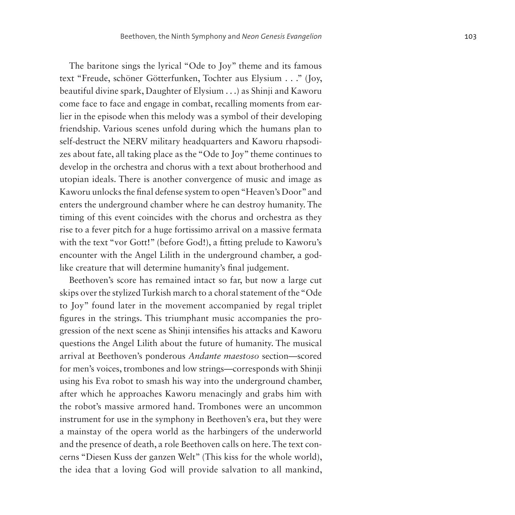The baritone sings the lyrical "Ode to Joy" theme and its famous text "Freude, schöner Götterfunken, Tochter aus Elysium . . ." (Joy, beautiful divine spark, Daughter of Elysium . . .) as Shinji and Kaworu come face to face and engage in combat, recalling moments from earlier in the episode when this melody was a symbol of their developing friendship. Various scenes unfold during which the humans plan to self-destruct the NERV military headquarters and Kaworu rhapsodizes about fate, all taking place as the "Ode to Joy" theme continues to develop in the orchestra and chorus with a text about brotherhood and utopian ideals. There is another convergence of music and image as Kaworu unlocks the final defense system to open "Heaven's Door" and enters the underground chamber where he can destroy humanity. The timing of this event coincides with the chorus and orchestra as they rise to a fever pitch for a huge fortissimo arrival on a massive fermata with the text "vor Gott!" (before God!), a fitting prelude to Kaworu's encounter with the Angel Lilith in the underground chamber, a godlike creature that will determine humanity's final judgement.

Beethoven's score has remained intact so far, but now a large cut skips over the stylized Turkish march to a choral statement of the "Ode to Joy" found later in the movement accompanied by regal triplet figures in the strings. This triumphant music accompanies the progression of the next scene as Shinji intensifies his attacks and Kaworu questions the Angel Lilith about the future of humanity. The musical arrival at Beethoven's ponderous *Andante maestoso* section—scored for men's voices, trombones and low strings—corresponds with Shinji using his Eva robot to smash his way into the underground chamber, after which he approaches Kaworu menacingly and grabs him with the robot's massive armored hand. Trombones were an uncommon instrument for use in the symphony in Beethoven's era, but they were a mainstay of the opera world as the harbingers of the underworld and the presence of death, a role Beethoven calls on here. The text concerns "Diesen Kuss der ganzen Welt" (This kiss for the whole world), the idea that a loving God will provide salvation to all mankind,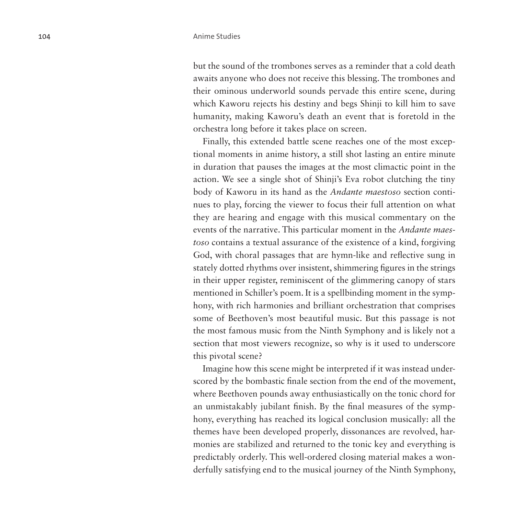but the sound of the trombones serves as a reminder that a cold death awaits anyone who does not receive this blessing. The trombones and their ominous underworld sounds pervade this entire scene, during which Kaworu rejects his destiny and begs Shinji to kill him to save humanity, making Kaworu's death an event that is foretold in the orchestra long before it takes place on screen.

Finally, this extended battle scene reaches one of the most exceptional moments in anime history, a still shot lasting an entire minute in duration that pauses the images at the most climactic point in the action. We see a single shot of Shinji's Eva robot clutching the tiny body of Kaworu in its hand as the *Andante maestoso* section continues to play, forcing the viewer to focus their full attention on what they are hearing and engage with this musical commentary on the events of the narrative. This particular moment in the *Andante maestoso* contains a textual assurance of the existence of a kind, forgiving God, with choral passages that are hymn-like and reflective sung in stately dotted rhythms over insistent, shimmering figures in the strings in their upper register, reminiscent of the glimmering canopy of stars mentioned in Schiller's poem. It is a spellbinding moment in the symphony, with rich harmonies and brilliant orchestration that comprises some of Beethoven's most beautiful music. But this passage is not the most famous music from the Ninth Symphony and is likely not a section that most viewers recognize, so why is it used to underscore this pivotal scene?

Imagine how this scene might be interpreted if it was instead underscored by the bombastic finale section from the end of the movement, where Beethoven pounds away enthusiastically on the tonic chord for an unmistakably jubilant finish. By the final measures of the symphony, everything has reached its logical conclusion musically: all the themes have been developed properly, dissonances are revolved, harmonies are stabilized and returned to the tonic key and everything is predictably orderly. This well-ordered closing material makes a wonderfully satisfying end to the musical journey of the Ninth Symphony,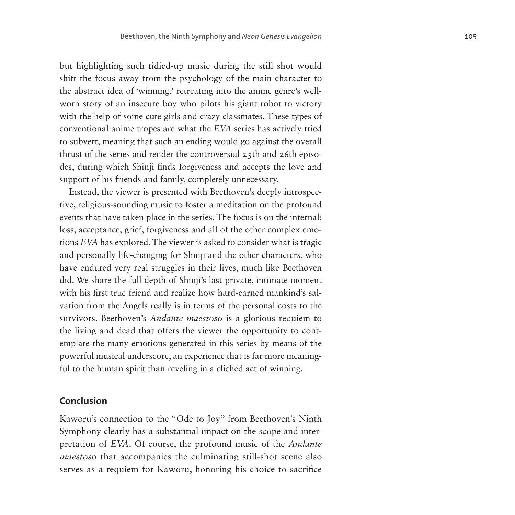but highlighting such tidied-up music during the still shot would shift the focus away from the psychology of the main character to the abstract idea of 'winning,' retreating into the anime genre's wellworn story of an insecure boy who pilots his giant robot to victory with the help of some cute girls and crazy classmates. These types of conventional anime tropes are what the *EVA* series has actively tried to subvert, meaning that such an ending would go against the overall thrust of the series and render the controversial 25th and 26th episodes, during which Shinji finds forgiveness and accepts the love and support of his friends and family, completely unnecessary.

Instead, the viewer is presented with Beethoven's deeply introspective, religious-sounding music to foster a meditation on the profound events that have taken place in the series. The focus is on the internal: loss, acceptance, grief, forgiveness and all of the other complex emotions *EVA* has explored. The viewer is asked to consider what is tragic and personally life-changing for Shinji and the other characters, who have endured very real struggles in their lives, much like Beethoven did. We share the full depth of Shinji's last private, intimate moment with his first true friend and realize how hard-earned mankind's salvation from the Angels really is in terms of the personal costs to the survivors. Beethoven's *Andante maestoso* is a glorious requiem to the living and dead that offers the viewer the opportunity to contemplate the many emotions generated in this series by means of the powerful musical underscore, an experience that is far more meaningful to the human spirit than reveling in a clichéd act of winning.

#### **Conclusion**

Kaworu's connection to the "Ode to Joy" from Beethoven's Ninth Symphony clearly has a substantial impact on the scope and interpretation of *EVA*. Of course, the profound music of the *Andante maestoso* that accompanies the culminating still-shot scene also serves as a requiem for Kaworu, honoring his choice to sacrifice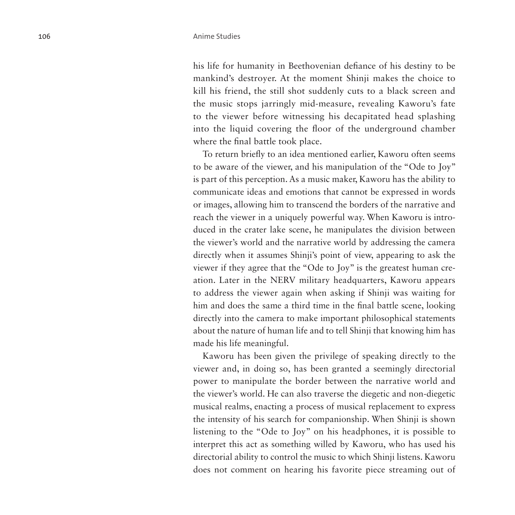his life for humanity in Beethovenian defiance of his destiny to be mankind's destroyer. At the moment Shinji makes the choice to kill his friend, the still shot suddenly cuts to a black screen and the music stops jarringly mid-measure, revealing Kaworu's fate to the viewer before witnessing his decapitated head splashing into the liquid covering the floor of the underground chamber where the final battle took place.

To return briefly to an idea mentioned earlier, Kaworu often seems to be aware of the viewer, and his manipulation of the "Ode to Joy" is part of this perception. As a music maker, Kaworu has the ability to communicate ideas and emotions that cannot be expressed in words or images, allowing him to transcend the borders of the narrative and reach the viewer in a uniquely powerful way. When Kaworu is introduced in the crater lake scene, he manipulates the division between the viewer's world and the narrative world by addressing the camera directly when it assumes Shinji's point of view, appearing to ask the viewer if they agree that the "Ode to Joy" is the greatest human creation. Later in the NERV military headquarters, Kaworu appears to address the viewer again when asking if Shinji was waiting for him and does the same a third time in the final battle scene, looking directly into the camera to make important philosophical statements about the nature of human life and to tell Shinji that knowing him has made his life meaningful.

Kaworu has been given the privilege of speaking directly to the viewer and, in doing so, has been granted a seemingly directorial power to manipulate the border between the narrative world and the viewer's world. He can also traverse the diegetic and non-diegetic musical realms, enacting a process of musical replacement to express the intensity of his search for companionship. When Shinji is shown listening to the "Ode to Joy" on his headphones, it is possible to interpret this act as something willed by Kaworu, who has used his directorial ability to control the music to which Shinji listens. Kaworu does not comment on hearing his favorite piece streaming out of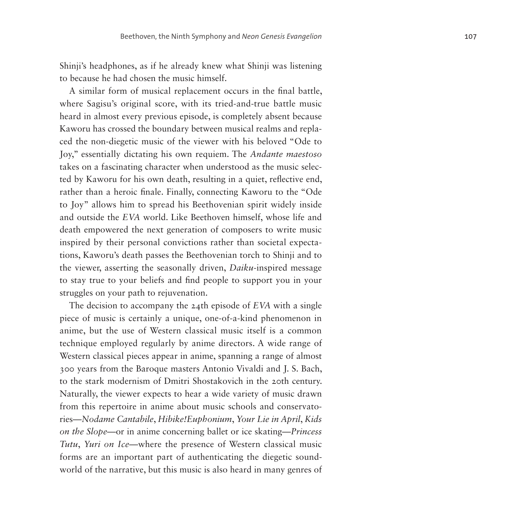Shinji's headphones, as if he already knew what Shinji was listening to because he had chosen the music himself.

A similar form of musical replacement occurs in the final battle, where Sagisu's original score, with its tried-and-true battle music heard in almost every previous episode, is completely absent because Kaworu has crossed the boundary between musical realms and replaced the non-diegetic music of the viewer with his beloved "Ode to Joy," essentially dictating his own requiem. The *Andante maestoso* takes on a fascinating character when understood as the music selected by Kaworu for his own death, resulting in a quiet, reflective end, rather than a heroic finale. Finally, connecting Kaworu to the "Ode to Joy" allows him to spread his Beethovenian spirit widely inside and outside the *EVA* world. Like Beethoven himself, whose life and death empowered the next generation of composers to write music inspired by their personal convictions rather than societal expectations, Kaworu's death passes the Beethovenian torch to Shinji and to the viewer, asserting the seasonally driven, *Daiku*-inspired message to stay true to your beliefs and find people to support you in your struggles on your path to rejuvenation.

The decision to accompany the 24th episode of *EVA* with a single piece of music is certainly a unique, one-of-a-kind phenomenon in anime, but the use of Western classical music itself is a common technique employed regularly by anime directors. A wide range of Western classical pieces appear in anime, spanning a range of almost 300 years from the Baroque masters Antonio Vivaldi and J. S. Bach, to the stark modernism of Dmitri Shostakovich in the 20th century. Naturally, the viewer expects to hear a wide variety of music drawn from this repertoire in anime about music schools and conservatories—*Nodame Cantabile*, *Hibike!Euphonium*, *Your Lie in April*, *Kids on the Slope*—or in anime concerning ballet or ice skating—*Princess Tutu*, *Yuri on Ice*—where the presence of Western classical music forms are an important part of authenticating the diegetic soundworld of the narrative, but this music is also heard in many genres of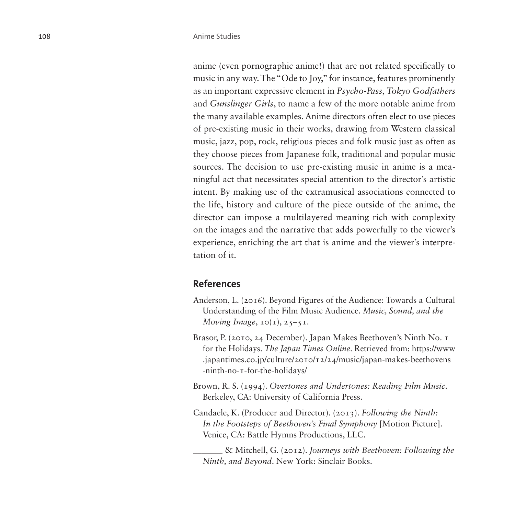anime (even pornographic anime!) that are not related specifically to music in any way. The "Ode to Joy," for instance, features prominently as an important expressive element in *Psycho-Pass*, *Tokyo Godfathers* and *Gunslinger Girls*, to name a few of the more notable anime from the many available examples. Anime directors often elect to use pieces of pre-existing music in their works, drawing from Western classical music, jazz, pop, rock, religious pieces and folk music just as often as they choose pieces from Japanese folk, traditional and popular music sources. The decision to use pre-existing music in anime is a meaningful act that necessitates special attention to the director's artistic intent. By making use of the extramusical associations connected to the life, history and culture of the piece outside of the anime, the director can impose a multilayered meaning rich with complexity on the images and the narrative that adds powerfully to the viewer's experience, enriching the art that is anime and the viewer's interpretation of it.

#### **References**

- Anderson, L. (2016). Beyond Figures of the Audience: Towards a Cultural Understanding of the Film Music Audience. *Music, Sound, and the Moving Image*,  $I \circ (I)$ ,  $25 - 5I$ .
- Brasor, P. (2010, 24 December). Japan Makes Beethoven's Ninth No. 1 for the Holidays. *The Japan Times Online*. Retrieved from: [https://www](https://www.japantimes.co.jp/culture/2010/12/24/music/japan-makes-beethovens-ninth-no-1-for-the-holidays/) [.japantimes.co.jp/culture/2010/12/24/music/japan-makes-beethovens](https://www.japantimes.co.jp/culture/2010/12/24/music/japan-makes-beethovens-ninth-no-1-for-the-holidays/) [-ninth-no-1-for-the-holidays/](https://www.japantimes.co.jp/culture/2010/12/24/music/japan-makes-beethovens-ninth-no-1-for-the-holidays/)
- Brown, R. S. (1994). *Overtones and Undertones: Reading Film Music*. Berkeley, CA: University of California Press.
- Candaele, K. (Producer and Director). (2013). *Following the Ninth: In the Footsteps of Beethoven's Final Symphony* [Motion Picture]. Venice, CA: Battle Hymns Productions, LLC.

\_\_\_\_\_\_\_ & Mitchell, G. (2012). *Journeys with Beethoven: Following the Ninth, and Beyond*. New York: Sinclair Books.